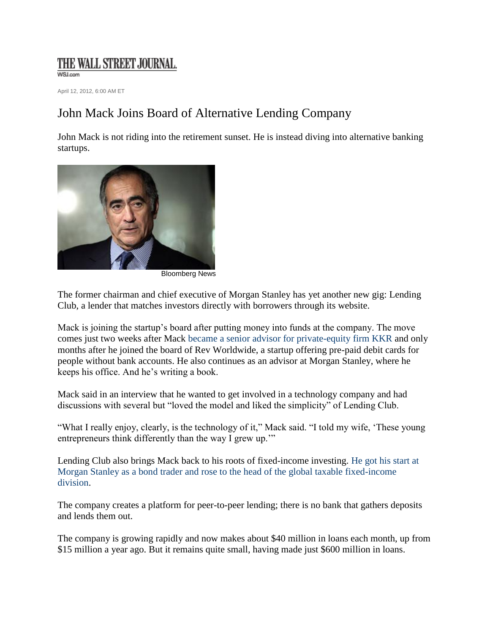## THE WALL STREET JOURNAL.

WSJ.com

April 12, 2012, 6:00 AM ET

## John Mack Joins Board of Alternative Lending Company

John Mack is not riding into the retirement sunset. He is instead diving into alternative banking startups.



Bloomberg News

The former chairman and chief executive of Morgan Stanley has yet another new gig: Lending Club, a lender that matches investors directly with borrowers through its website.

Mack is joining the startup's board after putting money into funds at the company. The move comes just two weeks after Mack [became a senior advisor for private-equity firm KKR](http://blogs.wsj.com/deals/2012/03/27/john-mack-to-join-kkr-as-senior-adviser/) and only months after he joined the board of Rev Worldwide, a startup offering pre-paid debit cards for people without bank accounts. He also continues as an advisor at Morgan Stanley, where he keeps his office. And he's writing a book.

Mack said in an interview that he wanted to get involved in a technology company and had discussions with several but "loved the model and liked the simplicity" of Lending Club.

"What I really enjoy, clearly, is the technology of it," Mack said. "I told my wife, 'These young entrepreneurs think differently than the way I grew up.'"

Lending Club also brings Mack back to his roots of fixed-income investing. [He got his start at](http://blogs.wsj.com/deals/2012/03/27/john-mack-a-retrospective-of-a-wall-street-life/)  [Morgan Stanley as a bond trader and rose to the head of the global taxable fixed-income](http://blogs.wsj.com/deals/2012/03/27/john-mack-a-retrospective-of-a-wall-street-life/)  [division.](http://blogs.wsj.com/deals/2012/03/27/john-mack-a-retrospective-of-a-wall-street-life/)

The company creates a platform for peer-to-peer lending; there is no bank that gathers deposits and lends them out.

The company is growing rapidly and now makes about \$40 million in loans each month, up from \$15 million a year ago. But it remains quite small, having made just \$600 million in loans.